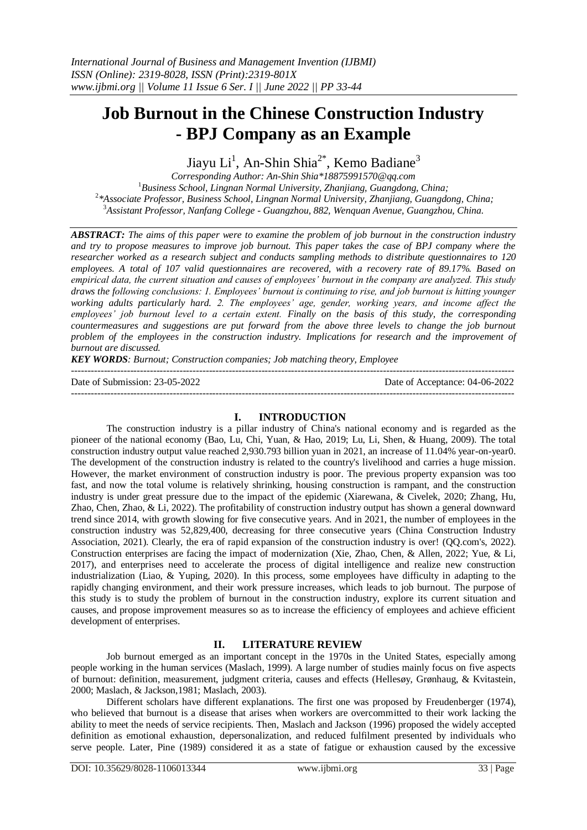# **Job Burnout in the Chinese Construction Industry - BPJ Company as an Example**

Jiayu Li<sup>1</sup>, An-Shin Shia<sup>2\*</sup>, Kemo Badiane<sup>3</sup>

*Corresponding Author: An-Shin Shia[\\*18875991570@qq.com](mailto:sas@ms4.kntech.com.tw) Business School, Lingnan Normal University, Zhanjiang, Guangdong, China; \*Associate Professor, Business School, Lingnan Normal University, Zhanjiang, Guangdong, China; Assistant Professor, Nanfang College - Guangzhou, 882, Wenquan Avenue, Guangzhou, China.*

*ABSTRACT: The aims of this paper were to examine the problem of job burnout in the construction industry and try to propose measures to improve job burnout. This paper takes the case of BPJ company where the researcher worked as a research subject and conducts sampling methods to distribute questionnaires to 120 employees. A total of 107 valid questionnaires are recovered, with a recovery rate of 89.17%. Based on empirical data, the current situation and causes of employees' burnout in the company are analyzed. This study draws the following conclusions: 1. Employees' burnout is continuing to rise, and job burnout is hitting younger working adults particularly hard. 2. The employees' age, gender, working years, and income affect the employees' job burnout level to a certain extent. Finally on the basis of this study, the corresponding countermeasures and suggestions are put forward from the above three levels to change the job burnout problem of the employees in the construction industry. Implications for research and the improvement of burnout are discussed.*

*KEY WORDS: Burnout; Construction companies; Job matching theory, Employee*

---------------------------------------------------------------------------------------------------------------------------------------

Date of Submission: 23-05-2022 Date of Acceptance: 04-06-2022 ---------------------------------------------------------------------------------------------------------------------------------------

## **I. INTRODUCTION**

The construction industry is a pillar industry of China's national economy and is regarded as the pioneer of the national economy (Bao, Lu, Chi, Yuan, & Hao, 2019; Lu, Li, Shen, & Huang, 2009). The total construction industry output value reached 2,930.793 billion yuan in 2021, an increase of 11.04% year-on-yea[r0.](#page-8-0) The development of the construction industry is related to the country's livelihood and carries a huge mission. However, the market environment of construction industry is poor. The previous property expansion was too fast, and now the total volume is relatively shrinking, housing construction is rampant, and the construction industry is under great pressure due to the impact of the epidemic (Xiarewana, & Civelek, 2020; Zhang, Hu, Zhao, Chen, Zhao, & Li, 2022). The profitability of construction industry output has shown a general downward trend since 2014, with growth slowing for five consecutive years. And in 2021, the number of employees in the construction industry was 52,829,400, decreasing for three consecutive years (China Construction Industry Association, 2021). Clearly, the era of rapid expansion of the construction industry is over! (QQ.com's, 2022). Construction enterprises are facing the impact of modernization (Xie, Zhao, Chen, & Allen, 2022; Yue, & Li, 2017), and enterprises need to accelerate the process of digital intelligence and realize new construction industrialization (Liao, & Yuping, 2020). In this process, some employees have difficulty in adapting to the rapidly changing environment, and their work pressure increases, which leads to job burnout. The purpose of this study is to study the problem of burnout in the construction industry, explore its current situation and causes, and propose improvement measures so as to increase the efficiency of employees and achieve efficient development of enterprises.

# **II. LITERATURE REVIEW**

Job burnout emerged as an important concept in the 1970s in the United States, especially among people working in the human services (Maslach, 1999). A large number of studies mainly focus on five aspects of burnout: definition, measurement, judgment criteria, causes and effects (Hellesøy, Grønhaug, & Kvitastein, 2000; Maslach, & Jackson,1981; Maslach, 2003).

Different scholars have different explanations. The first one was proposed by Freudenberger (1974), who believed that burnout is a disease that arises when workers are overcommitted to their work lacking the ability to meet the needs of service recipients. Then, Maslach and Jackson (1996) proposed the widely accepted definition as emotional exhaustion, depersonalization, and reduced fulfilment presented by individuals who serve people. Later, Pine (1989) considered it as a state of fatigue or exhaustion caused by the excessive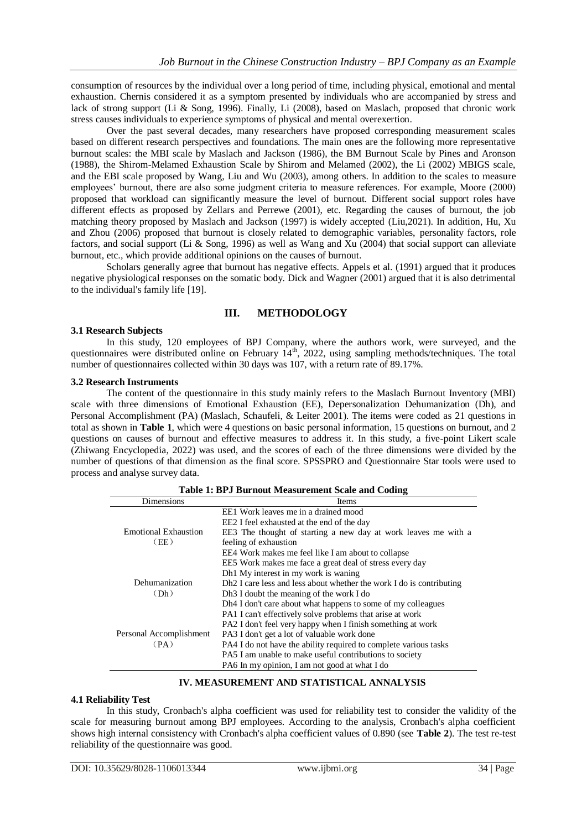consumption of resources by the individual over a long period of time, including physical, emotional and mental exhaustion. Chernis considered it as a symptom presented by individuals who are accompanied by stress and lack of strong support (Li & Song, 1996). Finally, Li (2008), based on Maslach, proposed that chronic work stress causes individuals to experience symptoms of physical and mental overexertion.

Over the past several decades, many researchers have proposed corresponding measurement scales based on different research perspectives and foundations. The main ones are the following more representative burnout scales: the MBI scale by Maslach and Jackson (1986), the BM Burnout Scale by Pines and Aronson (1988), the Shirom-Melamed Exhaustion Scale by Shirom and Melamed (2002), the Li (2002) MBIGS scale, and the EBI scale proposed by Wang, Liu and Wu (2003), among others. In addition to the scales to measure employees' burnout, there are also some judgment criteria to measure references. For example, Moore (2000) proposed that workload can significantly measure the level of burnout. Different social support roles have different effects as proposed by Zellars and Perrewe (2001), etc. Regarding the causes of burnout, the job matching theory proposed by Maslach and Jackson (1997) is widely accepted (Liu,2021). In addition, Hu, Xu and Zhou (2006) proposed that burnout is closely related to demographic variables, personality factors, role factors, and social support (Li & Song, 1996) as well as Wang and Xu (2004) that social support can alleviate burnout, etc., which provide additional opinions on the causes of burnout.

Scholars generally agree that burnout has negative effects. Appels et al. (1991) argued that it produces negative physiological responses on the somatic body. Dick and Wagner (2001) argued that it is also detrimental to the individual's family life [\[19\].](#page-9-0)

## **III. METHODOLOGY**

#### **3.1 Research Subjects**

In this study, 120 employees of BPJ Company, where the authors work, were surveyed, and the questionnaires were distributed online on February 14<sup>th</sup>, 2022, using sampling methods/techniques. The total number of questionnaires collected within 30 days was 107, with a return rate of 89.17%.

#### **3.2 Research Instruments**

The content of the questionnaire in this study mainly refers to the Maslach Burnout Inventory (MBI) scale with three dimensions of Emotional Exhaustion (EE), Depersonalization Dehumanization (Dh), and Personal Accomplishment (PA) (Maslach, Schaufeli, & Leiter 2001). The items were coded as 21 questions in total as shown in **Table 1**, which were 4 questions on basic personal information, 15 questions on burnout, and 2 questions on causes of burnout and effective measures to address it. In this study, a five-point Likert scale (Zhiwang Encyclopedia, 2022) was used, and the scores of each of the three dimensions were divided by the number of questions of that dimension as the final score. SPSSPRO and Questionnaire Star tools were used to process and analyse survey data.

| <b>Table 1: BPJ Burnout Measurement Scale and Coding</b> |                                                                                  |  |  |  |
|----------------------------------------------------------|----------------------------------------------------------------------------------|--|--|--|
| Dimensions                                               | Items                                                                            |  |  |  |
|                                                          | EE1 Work leaves me in a drained mood                                             |  |  |  |
|                                                          | EE2 I feel exhausted at the end of the day                                       |  |  |  |
| <b>Emotional Exhaustion</b>                              | EE3 The thought of starting a new day at work leaves me with a                   |  |  |  |
| (EE)                                                     | feeling of exhaustion                                                            |  |  |  |
|                                                          | EE4 Work makes me feel like I am about to collapse                               |  |  |  |
|                                                          | EE5 Work makes me face a great deal of stress every day                          |  |  |  |
|                                                          | Dh1 My interest in my work is waning                                             |  |  |  |
| Dehumanization                                           | Dh <sub>2</sub> I care less and less about whether the work I do is contributing |  |  |  |
| (Dh)                                                     | Dh <sub>3</sub> I doubt the meaning of the work I do                             |  |  |  |
|                                                          | Dh <sub>4</sub> I don't care about what happens to some of my colleagues         |  |  |  |
|                                                          | PA1 I can't effectively solve problems that arise at work                        |  |  |  |
|                                                          | PA2 I don't feel very happy when I finish something at work                      |  |  |  |
| Personal Accomplishment                                  | PA3 I don't get a lot of valuable work done                                      |  |  |  |
| (PA)                                                     | PA4 I do not have the ability required to complete various tasks                 |  |  |  |
|                                                          | PA5 I am unable to make useful contributions to society                          |  |  |  |
|                                                          | PA6 In my opinion, I am not good at what I do                                    |  |  |  |

#### **IV. MEASUREMENT AND STATISTICAL ANNALYSIS**

#### **4.1 Reliability Test**

In this study, Cronbach's alpha coefficient was used for reliability test to consider the validity of the scale for measuring burnout among BPJ employees. According to the analysis, Cronbach's alpha coefficient shows high internal consistency with Cronbach's alpha coefficient values of 0.890 (see **Table 2**). The test re-test reliability of the questionnaire was good.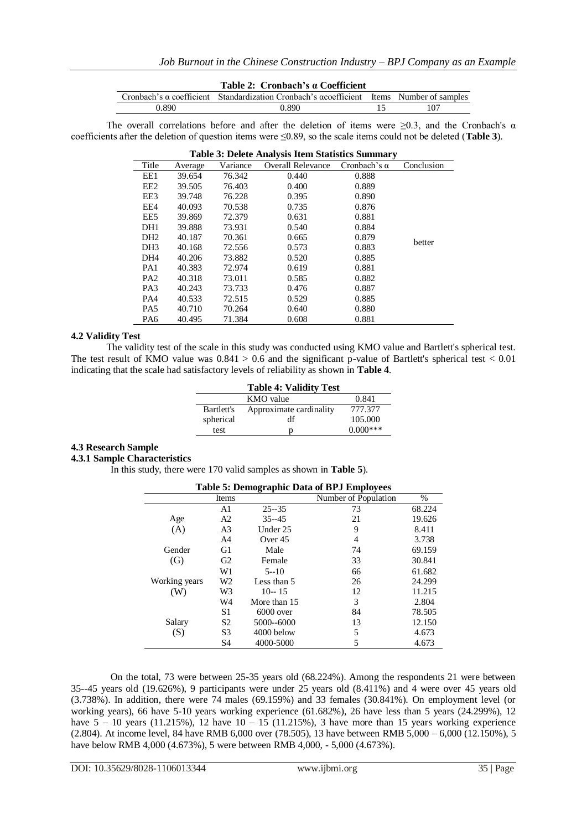|       | Table 2: Cronbach's a Coefficient                                                        |     |
|-------|------------------------------------------------------------------------------------------|-----|
|       | Cronbach's α coefficient Standardization Cronbach's αcoefficient Items Number of samples |     |
| 0.890 | 0.890                                                                                    | 107 |

The overall correlations before and after the deletion of items were  $\geq 0.3$ , and the Cronbach's  $\alpha$ coefficients after the deletion of question items were ≤0.89, so the scale items could not be deleted (**Table 3**).

| <b>Table 3: Delete Analysis Item Statistics Summary</b> |         |          |                          |                     |            |  |
|---------------------------------------------------------|---------|----------|--------------------------|---------------------|------------|--|
| Title                                                   | Average | Variance | <b>Overall Relevance</b> | Cronbach's $\alpha$ | Conclusion |  |
| EE1                                                     | 39.654  | 76.342   | 0.440                    | 0.888               |            |  |
| EE <sub>2</sub>                                         | 39.505  | 76.403   | 0.400                    | 0.889               |            |  |
| EE3                                                     | 39.748  | 76.228   | 0.395                    | 0.890               |            |  |
| EE4                                                     | 40.093  | 70.538   | 0.735                    | 0.876               |            |  |
| EE <sub>5</sub>                                         | 39.869  | 72.379   | 0.631                    | 0.881               |            |  |
| DH <sub>1</sub>                                         | 39.888  | 73.931   | 0.540                    | 0.884               |            |  |
| DH <sub>2</sub>                                         | 40.187  | 70.361   | 0.665                    | 0.879               | better     |  |
| DH <sub>3</sub>                                         | 40.168  | 72.556   | 0.573                    | 0.883               |            |  |
| DH <sub>4</sub>                                         | 40.206  | 73.882   | 0.520                    | 0.885               |            |  |
| PA1                                                     | 40.383  | 72.974   | 0.619                    | 0.881               |            |  |
| PA <sub>2</sub>                                         | 40.318  | 73.011   | 0.585                    | 0.882               |            |  |
| PA <sub>3</sub>                                         | 40.243  | 73.733   | 0.476                    | 0.887               |            |  |
| PA4                                                     | 40.533  | 72.515   | 0.529                    | 0.885               |            |  |
| PA <sub>5</sub>                                         | 40.710  | 70.264   | 0.640                    | 0.880               |            |  |
| PA6                                                     | 40.495  | 71.384   | 0.608                    | 0.881               |            |  |

#### **4.2 Validity Test**

The validity test of the scale in this study was conducted using KMO value and Bartlett's spherical test. The test result of KMO value was  $0.841 > 0.6$  and the significant p-value of Bartlett's spherical test  $< 0.01$ indicating that the scale had satisfactory levels of reliability as shown in **Table 4**.

|            | <b>Table 4: Validity Test</b> |            |
|------------|-------------------------------|------------|
|            | KMO value                     | 0.841      |
| Bartlett's | Approximate cardinality       | 777.377    |
| spherical  | df                            | 105.000    |
| test       | D                             | $0.000***$ |

#### **4.3 Research Sample**

#### **4.3.1 Sample Characteristics**

In this study, there were 170 valid samples as shown in **Table 5**).

| Table 5. Demographic Data of DT 3 Employees |                |              |                      |        |  |
|---------------------------------------------|----------------|--------------|----------------------|--------|--|
|                                             | Items          |              | Number of Population | $\%$   |  |
|                                             | A1             | $25 - 35$    | 73                   | 68.224 |  |
| Age                                         | A <sub>2</sub> | $35 - 45$    | 21                   | 19.626 |  |
| (A)                                         | A <sub>3</sub> | Under 25     | 9                    | 8.411  |  |
|                                             | A <sub>4</sub> | Over 45      | 4                    | 3.738  |  |
| Gender                                      | G1             | Male         | 74                   | 69.159 |  |
| (G)                                         | G <sub>2</sub> | Female       | 33                   | 30.841 |  |
|                                             | W1             | $5 - 10$     | 66                   | 61.682 |  |
| Working years                               | W2             | Less than 5  | 26                   | 24.299 |  |
| W)                                          | W3             | $10 - 15$    | 12                   | 11.215 |  |
|                                             | W4             | More than 15 | 3                    | 2.804  |  |
|                                             | S1             | $6000$ over  | 84                   | 78.505 |  |
| Salary                                      | S <sub>2</sub> | 5000--6000   | 13                   | 12.150 |  |
| (S)                                         | S <sub>3</sub> | 4000 below   | 5                    | 4.673  |  |
|                                             | S4             | 4000-5000    | 5                    | 4.673  |  |

# **Table 5: Demographic Data of BPJ Employees**

On the total, 73 were between 25-35 years old (68.224%). Among the respondents 21 were between 35--45 years old (19.626%), 9 participants were under 25 years old (8.411%) and 4 were over 45 years old (3.738%). In addition, there were 74 males (69.159%) and 33 females (30.841%). On employment level (or working years), 66 have 5-10 years working experience (61.682%), 26 have less than 5 years (24.299%), 12 have  $5 - 10$  years (11.215%), 12 have  $10 - 15$  (11.215%), 3 have more than 15 years working experience (2.804). At income level, 84 have RMB 6,000 over (78.505), 13 have between RMB 5,000 – 6,000 (12.150%), 5 have below RMB 4,000 (4.673%), 5 were between RMB 4,000, - 5,000 (4.673%).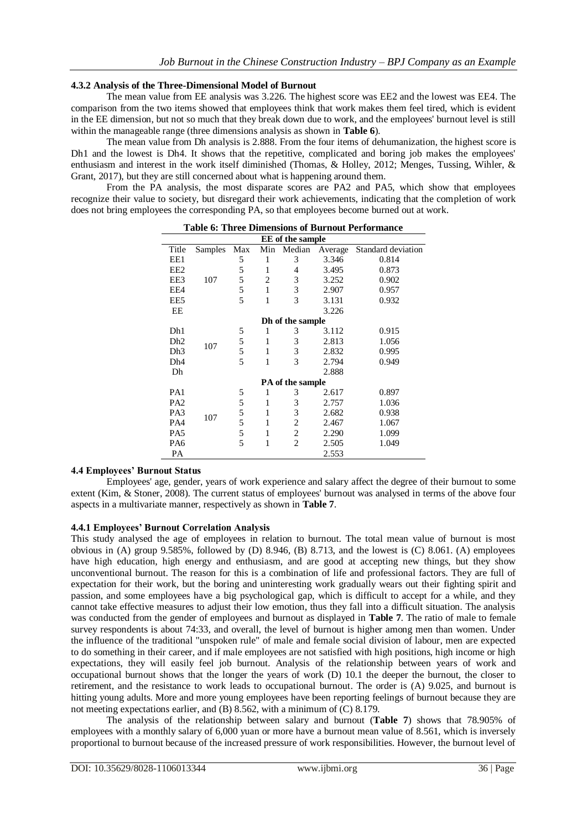## **4.3.2 Analysis of the Three-Dimensional Model of Burnout**

The mean value from EE analysis was 3.226. The highest score was EE2 and the lowest was EE4. The comparison from the two items showed that employees think that work makes them feel tired, which is evident in the EE dimension, but not so much that they break down due to work, and the employees' burnout level is still within the manageable range (three dimensions analysis as shown in **Table 6**).

The mean value from Dh analysis is 2.888. From the four items of dehumanization, the highest score is Dh1 and the lowest is Dh4. It shows that the repetitive, complicated and boring job makes the employees' enthusiasm and interest in the work itself diminished (Thomas, & Holley, 2012; Menges, Tussing, Wihler, & Grant, 2017), but they are still concerned about what is happening around them.

From the PA analysis, the most disparate scores are PA2 and PA5, which show that employees recognize their value to society, but disregard their work achievements, indicating that the completion of work does not bring employees the corresponding PA, so that employees become burned out at work.

| EE of the sample |         |     |     |                  |         |                    |
|------------------|---------|-----|-----|------------------|---------|--------------------|
| Title            | Samples | Max | Min | Median           | Average | Standard deviation |
| EE1              |         | 5   | 1   | 3                | 3.346   | 0.814              |
| EE2              |         | 5   | 1   | 4                | 3.495   | 0.873              |
| EE3              | 107     | 5   | 2   | 3                | 3.252   | 0.902              |
| EE4              |         | 5   | 1   | 3                | 2.907   | 0.957              |
| EE5              |         | 5   | 1   | 3                | 3.131   | 0.932              |
| EE               |         |     |     |                  | 3.226   |                    |
|                  |         |     |     | Dh of the sample |         |                    |
| D <sub>h1</sub>  |         | 5   | 1   | 3                | 3.112   | 0.915              |
| Dh <sub>2</sub>  | 107     | 5   | 1   | 3                | 2.813   | 1.056              |
| Dh3              |         | 5   | 1   | 3                | 2.832   | 0.995              |
| Dh <sub>4</sub>  |         | 5   | 1   | 3                | 2.794   | 0.949              |
| Dh               |         |     |     |                  | 2.888   |                    |
|                  |         |     |     | PA of the sample |         |                    |
| PA1              |         | 5   | 1   | 3                | 2.617   | 0.897              |
| PA <sub>2</sub>  |         | 5   | 1   | 3                | 2.757   | 1.036              |
| PA <sub>3</sub>  | 107     | 5   | 1   | 3                | 2.682   | 0.938              |
| PA4              |         | 5   | 1   | 2                | 2.467   | 1.067              |
| PA <sub>5</sub>  |         | 5   | 1   | $\overline{c}$   | 2.290   | 1.099              |
| PA <sub>6</sub>  |         | 5   | 1   | $\overline{c}$   | 2.505   | 1.049              |
| PA               |         |     |     |                  | 2.553   |                    |

| <b>Table 6: Three Dimensions of Burnout Performance</b> |  |
|---------------------------------------------------------|--|
|---------------------------------------------------------|--|

## **4.4 Employees' Burnout Status**

Employees' age, gender, years of work experience and salary affect the degree of their burnout to some extent (Kim, & Stoner, 2008). The current status of employees' burnout was analysed in terms of the above four aspects in a multivariate manner, respectively as shown in **Table 7**.

#### **4.4.1 Employees' Burnout Correlation Analysis**

This study analysed the age of employees in relation to burnout. The total mean value of burnout is most obvious in (A) group 9.585%, followed by (D) 8.946, (B) 8.713, and the lowest is (C) 8.061. (A) employees have high education, high energy and enthusiasm, and are good at accepting new things, but they show unconventional burnout. The reason for this is a combination of life and professional factors. They are full of expectation for their work, but the boring and uninteresting work gradually wears out their fighting spirit and passion, and some employees have a big psychological gap, which is difficult to accept for a while, and they cannot take effective measures to adjust their low emotion, thus they fall into a difficult situation. The analysis was conducted from the gender of employees and burnout as displayed in **Table 7**. The ratio of male to female survey respondents is about 74:33, and overall, the level of burnout is higher among men than women. Under the influence of the traditional "unspoken rule" of male and female social division of labour, men are expected to do something in their career, and if male employees are not satisfied with high positions, high income or high expectations, they will easily feel job burnout. Analysis of the relationship between years of work and occupational burnout shows that the longer the years of work (D) 10.1 the deeper the burnout, the closer to retirement, and the resistance to work leads to occupational burnout. The order is (A) 9.025, and burnout is hitting young adults. More and more young employees have been reporting feelings of burnout because they are not meeting expectations earlier, and (B) 8.562, with a minimum of (C) 8.179.

The analysis of the relationship between salary and burnout (**Table 7**) shows that 78.905% of employees with a monthly salary of 6,000 yuan or more have a burnout mean value of 8.561, which is inversely proportional to burnout because of the increased pressure of work responsibilities. However, the burnout level of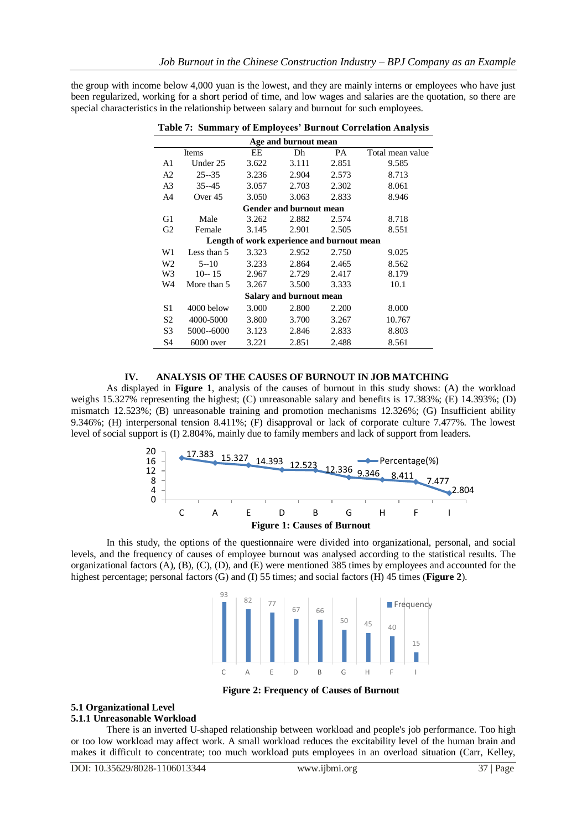the group with income below 4,000 yuan is the lowest, and they are mainly interns or employees who have just been regularized, working for a short period of time, and low wages and salaries are the quotation, so there are special characteristics in the relationship between salary and burnout for such employees.

| Age and burnout mean    |             |       |                                            |       |                  |  |  |
|-------------------------|-------------|-------|--------------------------------------------|-------|------------------|--|--|
|                         | Items       | EE    | Dh                                         | PA    | Total mean value |  |  |
| A1                      | Under 25    | 3.622 | 3.111                                      | 2.851 | 9.585            |  |  |
| A2                      | $25 - 35$   | 3.236 | 2.904                                      | 2.573 | 8.713            |  |  |
| A <sub>3</sub>          | $35 - 45$   | 3.057 | 2.703                                      | 2.302 | 8.061            |  |  |
| A <sub>4</sub>          | Over 45     | 3.050 | 3.063                                      | 2.833 | 8.946            |  |  |
|                         |             |       | <b>Gender and burnout mean</b>             |       |                  |  |  |
| G1                      | Male        | 3.262 | 2.882                                      | 2.574 | 8.718            |  |  |
| G2                      | Female      | 3.145 | 2.901                                      | 2.505 | 8.551            |  |  |
|                         |             |       | Length of work experience and burnout mean |       |                  |  |  |
| W1                      | Less than 5 | 3.323 | 2.952                                      | 2.750 | 9.025            |  |  |
| W <sub>2</sub>          | $5 - 10$    | 3.233 | 2.864                                      | 2.465 | 8.562            |  |  |
| W3                      | $10 - 15$   | 2.967 | 2.729                                      | 2.417 | 8.179            |  |  |
| W4                      | More than 5 | 3.267 | 3.500                                      | 3.333 | 10.1             |  |  |
| Salary and burnout mean |             |       |                                            |       |                  |  |  |
| S1                      | 4000 below  | 3.000 | 2.800                                      | 2.200 | 8.000            |  |  |
| S2                      | 4000-5000   | 3.800 | 3.700                                      | 3.267 | 10.767           |  |  |
| S <sub>3</sub>          | 5000--6000  | 3.123 | 2.846                                      | 2.833 | 8.803            |  |  |
| S4                      | $6000$ over | 3.221 | 2.851                                      | 2.488 | 8.561            |  |  |

**Table 7: Summary of Employees' Burnout Correlation Analysis**

## **IV. ANALYSIS OF THE CAUSES OF BURNOUT IN JOB MATCHING**

As displayed in **Figure 1**, analysis of the causes of burnout in this study shows: (A) the workload weighs 15.327% representing the highest; (C) unreasonable salary and benefits is 17.383%; (E) 14.393%; (D) mismatch 12.523%; (B) unreasonable training and promotion mechanisms 12.326%; (G) Insufficient ability 9.346%; (H) interpersonal tension 8.411%; (F) disapproval or lack of corporate culture 7.477%. The lowest level of social support is (I) 2.804%, mainly due to family members and lack of support from leaders.



In this study, the options of the questionnaire were divided into organizational, personal, and social levels, and the frequency of causes of employee burnout was analysed according to the statistical results. The organizational factors (A), (B), (C), (D), and (E) were mentioned 385 times by employees and accounted for the highest percentage; personal factors (G) and (I) 55 times; and social factors (H) 45 times (**Figure 2**).



**Figure 2: Frequency of Causes of Burnout**

# **5.1 Organizational Level**

## **5.1.1 Unreasonable Workload**

There is an inverted U-shaped relationship between workload and people's job performance. Too high or too low workload may affect work. A small workload reduces the excitability level of the human brain and makes it difficult to concentrate; too much workload puts employees in an overload situation (Carr, Kelley,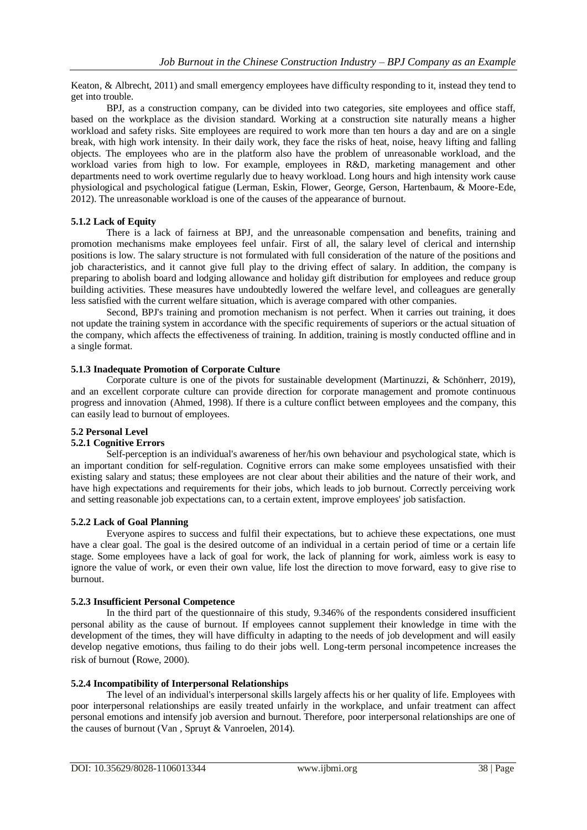Keaton, & Albrecht, 2011) and small emergency employees have difficulty responding to it, instead they tend to get into trouble.

BPJ, as a construction company, can be divided into two categories, site employees and office staff, based on the workplace as the division standard. Working at a construction site naturally means a higher workload and safety risks. Site employees are required to work more than ten hours a day and are on a single break, with high work intensity. In their daily work, they face the risks of heat, noise, heavy lifting and falling objects. The employees who are in the platform also have the problem of unreasonable workload, and the workload varies from high to low. For example, employees in R&D, marketing management and other departments need to work overtime regularly due to heavy workload. Long hours and high intensity work cause physiological and psychological fatigue (Lerman, Eskin, Flower, George, Gerson, Hartenbaum, & Moore-Ede, 2012). The unreasonable workload is one of the causes of the appearance of burnout.

## **5.1.2 Lack of Equity**

There is a lack of fairness at BPJ, and the unreasonable compensation and benefits, training and promotion mechanisms make employees feel unfair. First of all, the salary level of clerical and internship positions is low. The salary structure is not formulated with full consideration of the nature of the positions and job characteristics, and it cannot give full play to the driving effect of salary. In addition, the company is preparing to abolish board and lodging allowance and holiday gift distribution for employees and reduce group building activities. These measures have undoubtedly lowered the welfare level, and colleagues are generally less satisfied with the current welfare situation, which is average compared with other companies.

Second, BPJ's training and promotion mechanism is not perfect. When it carries out training, it does not update the training system in accordance with the specific requirements of superiors or the actual situation of the company, which affects the effectiveness of training. In addition, training is mostly conducted offline and in a single format.

#### **5.1.3 Inadequate Promotion of Corporate Culture**

Corporate culture is one of the pivots for sustainable development (Martinuzzi, & Schönherr, 2019), and an excellent corporate culture can provide direction for corporate management and promote continuous progress and innovation (Ahmed, 1998). If there is a culture conflict between employees and the company, this can easily lead to burnout of employees.

## **5.2 Personal Level**

## **5.2.1 Cognitive Errors**

Self-perception is an individual's awareness of her/his own behaviour and psychological state, which is an important condition for self-regulation. Cognitive errors can make some employees unsatisfied with their existing salary and status; these employees are not clear about their abilities and the nature of their work, and have high expectations and requirements for their jobs, which leads to job burnout. Correctly perceiving work and setting reasonable job expectations can, to a certain extent, improve employees' job satisfaction.

#### **5.2.2 Lack of Goal Planning**

Everyone aspires to success and fulfil their expectations, but to achieve these expectations, one must have a clear goal. The goal is the desired outcome of an individual in a certain period of time or a certain life stage. Some employees have a lack of goal for work, the lack of planning for work, aimless work is easy to ignore the value of work, or even their own value, life lost the direction to move forward, easy to give rise to burnout.

#### **5.2.3 Insufficient Personal Competence**

In the third part of the questionnaire of this study, 9.346% of the respondents considered insufficient personal ability as the cause of burnout. If employees cannot supplement their knowledge in time with the development of the times, they will have difficulty in adapting to the needs of job development and will easily develop negative emotions, thus failing to do their jobs well. Long-term personal incompetence increases the risk of burnout (Rowe, 2000).

## **5.2.4 Incompatibility of Interpersonal Relationships**

The level of an individual's interpersonal skills largely affects his or her quality of life. Employees with poor interpersonal relationships are easily treated unfairly in the workplace, and unfair treatment can affect personal emotions and intensify job aversion and burnout. Therefore, poor interpersonal relationships are one of the causes of burnout (Van , Spruyt & Vanroelen, 2014).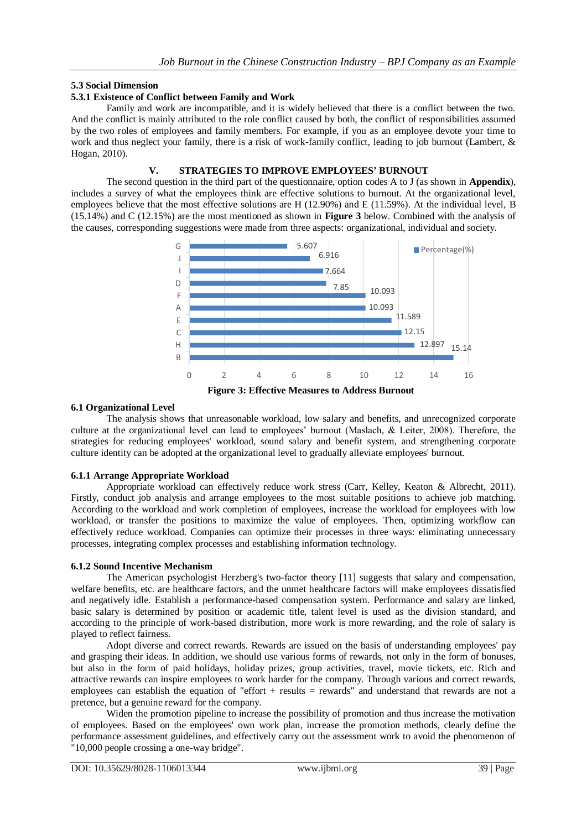## **5.3 Social Dimension**

## **5.3.1 Existence of Conflict between Family and Work**

Family and work are incompatible, and it is widely believed that there is a conflict between the two. And the conflict is mainly attributed to the role conflict caused by both, the conflict of responsibilities assumed by the two roles of employees and family members. For example, if you as an employee devote your time to work and thus neglect your family, there is a risk of work-family conflict, leading to job burnout (Lambert, & Hogan, 2010).

## **V. STRATEGIES TO IMPROVE EMPLOYEES' BURNOUT**

The second question in the third part of the questionnaire, option codes A to J (as shown in **Appendix**), includes a survey of what the employees think are effective solutions to burnout. At the organizational level, employees believe that the most effective solutions are H (12.90%) and E (11.59%). At the individual level, B (15.14%) and C (12.15%) are the most mentioned as shown in **Figure 3** below. Combined with the analysis of the causes, corresponding suggestions were made from three aspects: organizational, individual and society.



## **6.1 Organizational Level**

The analysis shows that unreasonable workload, low salary and benefits, and unrecognized corporate culture at the organizational level can lead to employees' burnout (Maslach, & Leiter, 2008). Therefore, the strategies for reducing employees' workload, sound salary and benefit system, and strengthening corporate culture identity can be adopted at the organizational level to gradually alleviate employees' burnout.

## **6.1.1 Arrange Appropriate Workload**

Appropriate workload can effectively reduce work stress (Carr, Kelley, Keaton & Albrecht, 2011). Firstly, conduct job analysis and arrange employees to the most suitable positions to achieve job matching. According to the workload and work completion of employees, increase the workload for employees with low workload, or transfer the positions to maximize the value of employees. Then, optimizing workflow can effectively reduce workload. Companies can optimize their processes in three ways: eliminating unnecessary processes, integrating complex processes and establishing information technology.

#### **6.1.2 Sound Incentive Mechanism**

The American psychologist Herzberg's two-factor theory [\[11\]](#page-8-1) suggests that salary and compensation, welfare benefits, etc. are healthcare factors, and the unmet healthcare factors will make employees dissatisfied and negatively idle. Establish a performance-based compensation system. Performance and salary are linked, basic salary is determined by position or academic title, talent level is used as the division standard, and according to the principle of work-based distribution, more work is more rewarding, and the role of salary is played to reflect fairness.

Adopt diverse and correct rewards. Rewards are issued on the basis of understanding employees' pay and grasping their ideas. In addition, we should use various forms of rewards, not only in the form of bonuses, but also in the form of paid holidays, holiday prizes, group activities, travel, movie tickets, etc. Rich and attractive rewards can inspire employees to work harder for the company. Through various and correct rewards, employees can establish the equation of "effort + results = rewards" and understand that rewards are not a pretence, but a genuine reward for the company.

Widen the promotion pipeline to increase the possibility of promotion and thus increase the motivation of employees. Based on the employees' own work plan, increase the promotion methods, clearly define the performance assessment guidelines, and effectively carry out the assessment work to avoid the phenomenon of "10,000 people crossing a one-way bridge".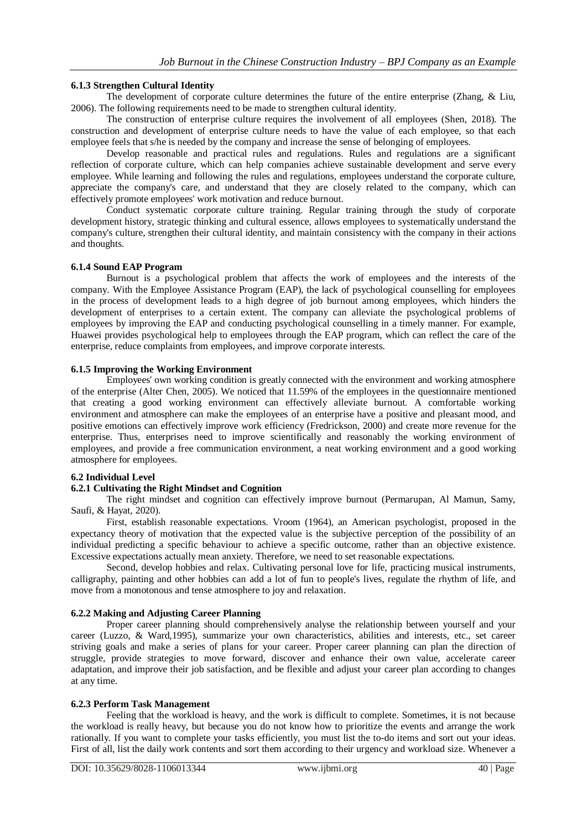## **6.1.3 Strengthen Cultural Identity**

The development of corporate culture determines the future of the entire enterprise (Zhang, & Liu, 2006). The following requirements need to be made to strengthen cultural identity.

The construction of enterprise culture requires the involvement of all employees (Shen, 2018). The construction and development of enterprise culture needs to have the value of each employee, so that each employee feels that s/he is needed by the company and increase the sense of belonging of employees.

Develop reasonable and practical rules and regulations. Rules and regulations are a significant reflection of corporate culture, which can help companies achieve sustainable development and serve every employee. While learning and following the rules and regulations, employees understand the corporate culture, appreciate the company's care, and understand that they are closely related to the company, which can effectively promote employees' work motivation and reduce burnout.

Conduct systematic corporate culture training. Regular training through the study of corporate development history, strategic thinking and cultural essence, allows employees to systematically understand the company's culture, strengthen their cultural identity, and maintain consistency with the company in their actions and thoughts.

#### **6.1.4 Sound EAP Program**

Burnout is a psychological problem that affects the work of employees and the interests of the company. With the Employee Assistance Program (EAP), the lack of psychological counselling for employees in the process of development leads to a high degree of job burnout among employees, which hinders the development of enterprises to a certain extent. The company can alleviate the psychological problems of employees by improving the EAP and conducting psychological counselling in a timely manner. For example, Huawei provides psychological help to employees through the EAP program, which can reflect the care of the enterprise, reduce complaints from employees, and improve corporate interests.

## **6.1.5 Improving the Working Environment**

Employees' own working condition is greatly connected with the environment and working atmosphere of the enterprise (Alter Chen, 2005). We noticed that 11.59% of the employees in the questionnaire mentioned that creating a good working environment can effectively alleviate burnout. A comfortable working environment and atmosphere can make the employees of an enterprise have a positive and pleasant mood, and positive emotions can effectively improve work efficiency (Fredrickson, 2000) and create more revenue for the enterprise. Thus, enterprises need to improve scientifically and reasonably the working environment of employees, and provide a free communication environment, a neat working environment and a good working atmosphere for employees.

#### **6.2 Individual Level**

## **6.2.1 Cultivating the Right Mindset and Cognition**

The right mindset and cognition can effectively improve burnout (Permarupan, Al Mamun, Samy, Saufi, & Hayat, 2020).

First, establish reasonable expectations. Vroom (1964), an American psychologist, proposed in the expectancy theory of motivation that the expected value is the subjective perception of the possibility of an individual predicting a specific behaviour to achieve a specific outcome, rather than an objective existence. Excessive expectations actually mean anxiety. Therefore, we need to set reasonable expectations.

Second, develop hobbies and relax. Cultivating personal love for life, practicing musical instruments, calligraphy, painting and other hobbies can add a lot of fun to people's lives, regulate the rhythm of life, and move from a monotonous and tense atmosphere to joy and relaxation.

#### **6.2.2 Making and Adjusting Career Planning**

Proper career planning should comprehensively analyse the relationship between yourself and your career (Luzzo, & Ward,1995), summarize your own characteristics, abilities and interests, etc., set career striving goals and make a series of plans for your career. Proper career planning can plan the direction of struggle, provide strategies to move forward, discover and enhance their own value, accelerate career adaptation, and improve their job satisfaction, and be flexible and adjust your career plan according to changes at any time.

#### **6.2.3 Perform Task Management**

Feeling that the workload is heavy, and the work is difficult to complete. Sometimes, it is not because the workload is really heavy, but because you do not know how to prioritize the events and arrange the work rationally. If you want to complete your tasks efficiently, you must list the to-do items and sort out your ideas. First of all, list the daily work contents and sort them according to their urgency and workload size. Whenever a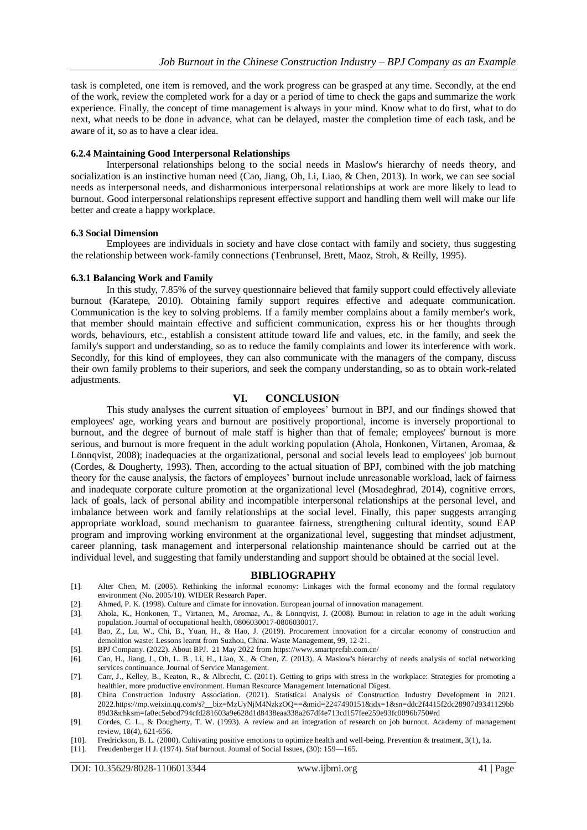task is completed, one item is removed, and the work progress can be grasped at any time. Secondly, at the end of the work, review the completed work for a day or a period of time to check the gaps and summarize the work experience. Finally, the concept of time management is always in your mind. Know what to do first, what to do next, what needs to be done in advance, what can be delayed, master the completion time of each task, and be aware of it, so as to have a clear idea.

#### **6.2.4 Maintaining Good Interpersonal Relationships**

Interpersonal relationships belong to the social needs in Maslow's hierarchy of needs theory, and socialization is an instinctive human need (Cao, Jiang, Oh, Li, Liao, & Chen, 2013). In work, we can see social needs as interpersonal needs, and disharmonious interpersonal relationships at work are more likely to lead to burnout. Good interpersonal relationships represent effective support and handling them well will make our life better and create a happy workplace.

#### **6.3 Social Dimension**

Employees are individuals in society and have close contact with family and society, thus suggesting the relationship between work-family connections (Tenbrunsel, Brett, Maoz, Stroh, & Reilly, 1995).

#### **6.3.1 Balancing Work and Family**

In this study, 7.85% of the survey questionnaire believed that family support could effectively alleviate burnout (Karatepe, 2010). Obtaining family support requires effective and adequate communication. Communication is the key to solving problems. If a family member complains about a family member's work, that member should maintain effective and sufficient communication, express his or her thoughts through words, behaviours, etc., establish a consistent attitude toward life and values, etc. in the family, and seek the family's support and understanding, so as to reduce the family complaints and lower its interference with work. Secondly, for this kind of employees, they can also communicate with the managers of the company, discuss their own family problems to their superiors, and seek the company understanding, so as to obtain work-related adjustments.

## **VI. CONCLUSION**

This study analyses the current situation of employees' burnout in BPJ, and our findings showed that employees' age, working years and burnout are positively proportional, income is inversely proportional to burnout, and the degree of burnout of male staff is higher than that of female; employees' burnout is more serious, and burnout is more frequent in the adult working population (Ahola, Honkonen, Virtanen, Aromaa, & Lönnqvist, 2008); inadequacies at the organizational, personal and social levels lead to employees' job burnout (Cordes, & Dougherty, 1993). Then, according to the actual situation of BPJ, combined with the job matching theory for the cause analysis, the factors of employees' burnout include unreasonable workload, lack of fairness and inadequate corporate culture promotion at the organizational level (Mosadeghrad, 2014), cognitive errors, lack of goals, lack of personal ability and incompatible interpersonal relationships at the personal level, and imbalance between work and family relationships at the social level. Finally, this paper suggests arranging appropriate workload, sound mechanism to guarantee fairness, strengthening cultural identity, sound EAP program and improving working environment at the organizational level, suggesting that mindset adjustment, career planning, task management and interpersonal relationship maintenance should be carried out at the individual level, and suggesting that family understanding and support should be obtained at the social level.

#### **BIBLIOGRAPHY**

- <span id="page-8-0"></span>[1]. Alter Chen, M. (2005). Rethinking the informal economy: Linkages with the formal economy and the formal regulatory environment (No. 2005/10). WIDER Research Paper.
- [2]. Ahmed, P. K. (1998). Culture and climate for innovation. European journal of innovation management.
- [3]. Ahola, K., Honkonen, T., Virtanen, M., Aromaa, A., & Lönnqvist, J. (2008). Burnout in relation to age in the adult working population. Journal of occupational health, 0806030017-0806030017.
- [4]. Bao, Z., Lu, W., Chi, B., Yuan, H., & Hao, J. (2019). Procurement innovation for a circular economy of construction and demolition waste: Lessons learnt from Suzhou, China. Waste Management, 99, 12-21.
- [5]. BPJ Company. (2022). About BPJ. 21 May 2022 from https://www.smartprefab.com.cn/
- [6]. Cao, H., Jiang, J., Oh, L. B., Li, H., Liao, X., & Chen, Z. (2013). A Maslow's hierarchy of needs analysis of social networking services continuance. Journal of Service Management.
- [7]. Carr, J., Kelley, B., Keaton, R., & Albrecht, C. (2011). Getting to grips with stress in the workplace: Strategies for promoting a healthier, more productive environment. Human Resource Management International Digest.
- [8]. China Construction Industry Association. (2021). Statistical Analysis of Construction Industry Development in 2021. 2022.https://mp.weixin.qq.com/s?\_\_biz=MzUyNjM4NzkzOQ==&mid=2247490151&idx=1&sn=ddc2f4415f2dc28907d9341129bb 89d3&chksm=fa0ec5ebcd794cfd281603a9e628d1d8438eaa338a267df4e713cd157fee259e93fc0096b750#rd
- [9]. Cordes, C. L., & Dougherty, T. W. (1993). A review and an integration of research on job burnout. Academy of management review, 18(4), 621-656.
- [10]. Fredrickson, B. L. (2000). Cultivating positive emotions to optimize health and well-being. Prevention & treatment, 3(1), 1a. [11]. Freudenberger H J. (1974). Staf burnout. Journal of Social Issues, (30): 159-165.
- <span id="page-8-1"></span>Freudenberger H J. (1974). Staf burnout. Joumal of Social Issues, (30): 159-165.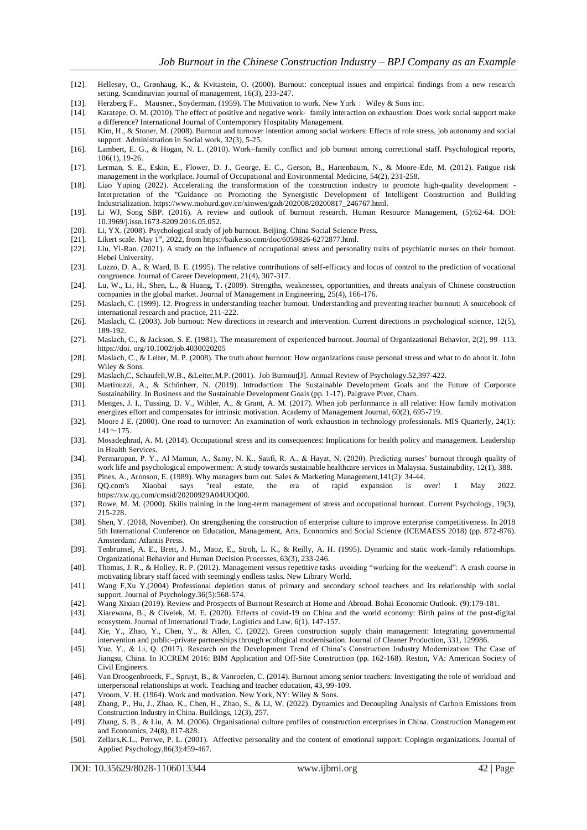- [12]. Hellesøy, O., Grønhaug, K., & Kvitastein, O. (2000). Burnout: conceptual issues and empirical findings from a new research setting. Scandinavian journal of management, 16(3), 233-247.
- [13]. Herzberg F., Mausner., Snyderman. (1959). The Motivation to work. New York: Wiley & Sons inc.
- [14]. Karatepe, O. M. (2010). The effect of positive and negative work‐ family interaction on exhaustion: Does work social support make a difference? International Journal of Contemporary Hospitality Management.
- [15]. Kim, H., & Stoner, M. (2008). Burnout and turnover intention among social workers: Effects of role stress, job autonomy and social support. Administration in Social work, 32(3), 5-25.
- [16]. Lambert, E. G., & Hogan, N. L. (2010). Work–family conflict and job burnout among correctional staff. Psychological reports, 106(1), 19-26.
- [17]. Lerman, S. E., Eskin, E., Flower, D. J., George, E. C., Gerson, B., Hartenbaum, N., & Moore-Ede, M. (2012). Fatigue risk management in the workplace. Journal of Occupational and Environmental Medicine, 54(2), 231-258.
- [18]. Liao Yuping (2022). Accelerating the transformation of the construction industry to promote high-quality development Interpretation of the "Guidance on Promoting the Synergistic Development of Intelligent Construction and Building Industrialization. https://www.mohurd.gov.cn/xinwen/gzdt/202008/20200817\_246767.html.
- <span id="page-9-0"></span>[19]. Li WJ, Song SBP. (2016). A review and outlook of burnout research. Human Resource Management, (5):62-64. DOI: 10.3969/j.issn.1673-8209.2016.05.052.
- [20]. Li, YX. (2008). Psychological study of job burnout. Beijing. China Social Science Press.
- [21]. Likert scale. May 1<sup>st</sup>, 2022, from https://baike.so.com/doc/6059826-6272877.html.
- [22]. Liu, Yi-Ran. (2021). A study on the influence of occupational stress and personality traits of psychiatric nurses on their burnout. Hebei University.
- [23]. Luzzo, D. A., & Ward, B. E. (1995). The relative contributions of self-efficacy and locus of control to the prediction of vocational congruence. Journal of Career Development, 21(4), 307-317.
- [24]. Lu, W., Li, H., Shen, L., & Huang, T. (2009). Strengths, weaknesses, opportunities, and threats analysis of Chinese construction companies in the global market. Journal of Management in Engineering, 25(4), 166-176.
- [25]. Maslach, C. (1999). 12. Progress in understanding teacher burnout. Understanding and preventing teacher burnout: A sourcebook of international research and practice, 211-222.
- [26]. Maslach, C. (2003). Job burnout: New directions in research and intervention. Current directions in psychological science, 12(5), 189-192.
- [27]. Maslach, C., & Jackson, S. E. (1981). The measurement of experienced burnout. Journal of Organizational Behavior, 2(2), 99–113. https://doi. org/10.1002/job.4030020205
- [28]. Maslach, C., & Leiter, M. P. (2008). The truth about burnout: How organizations cause personal stress and what to do about it. John Wiley & Sons.
- [29]. Maslach, C, Schaufeli, W.B., &Leiter, M.P. (2001). Job Burnout [J]. Annual Review of Psychology.52,397-422.<br>[30]. Martinuzzi, A., & Schönherr, N. (2019). Introduction: The Sustainable Development Goals and the
- Martinuzzi, A., & Schönherr, N. (2019). Introduction: The Sustainable Development Goals and the Future of Corporate Sustainability. In Business and the Sustainable Development Goals (pp. 1-17). Palgrave Pivot, Cham.
- [31]. Menges, J. I., Tussing, D. V., Wihler, A., & Grant, A. M. (2017). When job performance is all relative: How family motivation energizes effort and compensates for intrinsic motivation. Academy of Management Journal, 60(2), 695-719.
- [32]. Moore J E. (2000). One road to turnover: An examination of work exhaustion in technology professionals. MIS Quarterly, 24(1):  $141 \sim 175$ .
- [33]. Mosadeghrad, A. M. (2014). Occupational stress and its consequences: Implications for health policy and management. Leadership in Health Services.
- [34]. Permarupan, P. Y., Al Mamun, A., Samy, N. K., Saufi, R. A., & Hayat, N. (2020). Predicting nurses' burnout through quality of work life and psychological empowerment: A study towards sustainable healthcare services in Malaysia. Sustainability, 12(1), 388.
- [35]. Pines, A., Aronson, E. (1989). Why managers burn out. Sales & Marketing Management,141(2): 34-44. [36]. QQ.com's Xiaobai says "real estate, the era of rapid expansion is over! 1 May 2022. https://xw.qq.com/cmsid/20200929A04UOQ00.
- [37]. Rowe, M. M. (2000). Skills training in the long-term management of stress and occupational burnout. Current Psychology, 19(3), 215-228.
- [38]. Shen, Y. (2018, November). On strengthening the construction of enterprise culture to improve enterprise competitiveness. In 2018 5th International Conference on Education, Management, Arts, Economics and Social Science (ICEMAESS 2018) (pp. 872-876). Amsterdam: Atlantis Press.
- [39]. Tenbrunsel, A. E., Brett, J. M., Maoz, E., Stroh, L. K., & Reilly, A. H. (1995). Dynamic and static work-family relationships. Organizational Behavior and Human Decision Processes, 63(3), 233-246.
- [40]. Thomas, J. R., & Holley, R. P. (2012). Management versus repetitive tasks–avoiding "working for the weekend": A crash course in motivating library staff faced with seemingly endless tasks. New Library World.
- [41]. Wang F,Xu Y.(2004) Professional depletion status of primary and secondary school teachers and its relationship with social support. Journal of Psychology.36(5):568-574.
- [42]. Wang Xixian (2019). Review and Prospects of Burnout Research at Home and Abroad. Bohai Economic Outlook. (9):179-181.
- [43]. Xiarewana, B., & Civelek, M. E. (2020). Effects of covid-19 on China and the world economy: Birth pains of the post-digital ecosystem. Journal of International Trade, Logistics and Law, 6(1), 147-157.
- [44]. Xie, Y., Zhao, Y., Chen, Y., & Allen, C. (2022). Green construction supply chain management: Integrating governmental intervention and public–private partnerships through ecological modernisation. Journal of Cleaner Production, 331, 129986.
- [45]. Yue, Y., & Li, Q. (2017). Research on the Development Trend of China's Construction Industry Modernization: The Case of Jiangsu, China. In ICCREM 2016: BIM Application and Off-Site Construction (pp. 162-168). Reston, VA: American Society of Civil Engineers.
- [46]. Van Droogenbroeck, F., Spruyt, B., & Vanroelen, C. (2014). Burnout among senior teachers: Investigating the role of workload and interpersonal relationships at work. Teaching and teacher education, 43, 99-109.
- [47]. Vroom, V. H. (1964). Work and motivation. New York, NY: Wiley & Sons.
- [48]. Zhang, P., Hu, J., Zhao, K., Chen, H., Zhao, S., & Li, W. (2022). Dynamics and Decoupling Analysis of Carbon Emissions from Construction Industry in China. Buildings, 12(3), 257.
- [49]. Zhang, S. B., & Liu, A. M. (2006). Organisational culture profiles of construction enterprises in China. Construction Management and Economics, 24(8), 817-828.
- [50]. Zellars,K.L., Perrwe, P. L. (2001). Affective personality and the content of emotional support: Copingin organizations. Journal of Applied Psychology,86(3):459-467.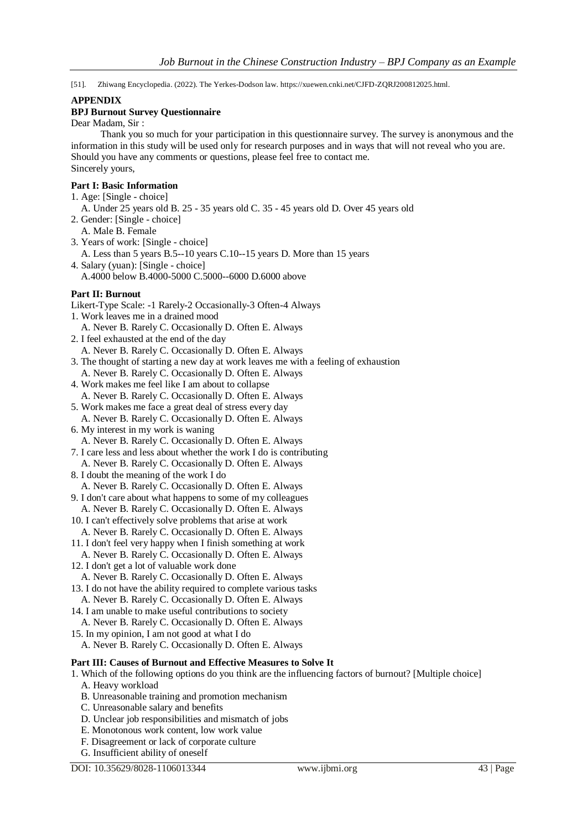[51]. Zhiwang Encyclopedia. (2022). The Yerkes-Dodson law. https://xuewen.cnki.net/CJFD-ZQRJ200812025.html.

#### **APPENDIX**

## **BPJ Burnout Survey Questionnaire**

Dear Madam, Sir :

Thank you so much for your participation in this questionnaire survey. The survey is anonymous and the information in this study will be used only for research purposes and in ways that will not reveal who you are. Should you have any comments or questions, please feel free to contact me. Sincerely yours,

#### **Part I: Basic Information**

- 1. Age: [Single choice]
- A. Under 25 years old B. 25 35 years old C. 35 45 years old D. Over 45 years old
- 2. Gender: [Single choice] A. Male B. Female
- 3. Years of work: [Single choice]

A. Less than 5 years B.5--10 years C.10--15 years D. More than 15 years

4. Salary (yuan): [Single - choice] A.4000 below B.4000-5000 C.5000--6000 D.6000 above

## **Part II: Burnout**

- Likert-Type Scale: -1 Rarely-2 Occasionally-3 Often-4 Always
- 1. Work leaves me in a drained mood
- A. Never B. Rarely C. Occasionally D. Often E. Always
- 2. I feel exhausted at the end of the day
- A. Never B. Rarely C. Occasionally D. Often E. Always
- 3. The thought of starting a new day at work leaves me with a feeling of exhaustion A. Never B. Rarely C. Occasionally D. Often E. Always
- 4. Work makes me feel like I am about to collapse A. Never B. Rarely C. Occasionally D. Often E. Always
- 
- 5. Work makes me face a great deal of stress every day A. Never B. Rarely C. Occasionally D. Often E. Always
- 6. My interest in my work is waning
- A. Never B. Rarely C. Occasionally D. Often E. Always 7. I care less and less about whether the work I do is contributing A. Never B. Rarely C. Occasionally D. Often E. Always
- 8. I doubt the meaning of the work I do
- A. Never B. Rarely C. Occasionally D. Often E. Always
- 9. I don't care about what happens to some of my colleagues
- A. Never B. Rarely C. Occasionally D. Often E. Always
- 10. I can't effectively solve problems that arise at work A. Never B. Rarely C. Occasionally D. Often E. Always
- 11. I don't feel very happy when I finish something at work
- A. Never B. Rarely C. Occasionally D. Often E. Always
- 12. I don't get a lot of valuable work done
- A. Never B. Rarely C. Occasionally D. Often E. Always
- 13. I do not have the ability required to complete various tasks
- A. Never B. Rarely C. Occasionally D. Often E. Always 14. I am unable to make useful contributions to society
- A. Never B. Rarely C. Occasionally D. Often E. Always
- 15. In my opinion, I am not good at what I do
- A. Never B. Rarely C. Occasionally D. Often E. Always

## **Part III: Causes of Burnout and Effective Measures to Solve It**

- 1. Which of the following options do you think are the influencing factors of burnout? [Multiple choice] A. Heavy workload
	- B. Unreasonable training and promotion mechanism
	- C. Unreasonable salary and benefits
	- D. Unclear job responsibilities and mismatch of jobs
	- E. Monotonous work content, low work value
	- F. Disagreement or lack of corporate culture
	- G. Insufficient ability of oneself